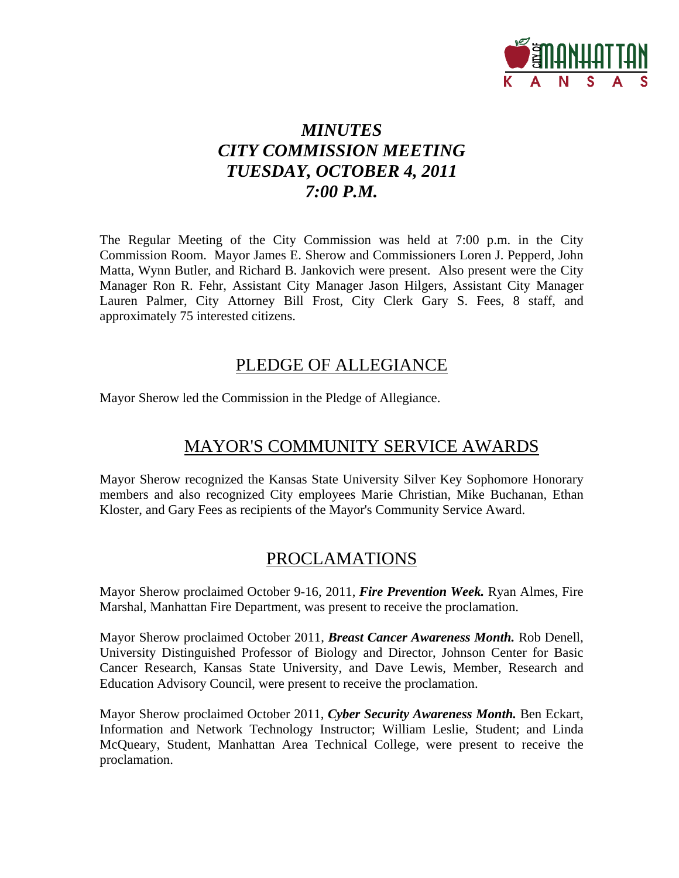

# *MINUTES CITY COMMISSION MEETING TUESDAY, OCTOBER 4, 2011 7:00 P.M.*

The Regular Meeting of the City Commission was held at 7:00 p.m. in the City Commission Room. Mayor James E. Sherow and Commissioners Loren J. Pepperd, John Matta, Wynn Butler, and Richard B. Jankovich were present. Also present were the City Manager Ron R. Fehr, Assistant City Manager Jason Hilgers, Assistant City Manager Lauren Palmer, City Attorney Bill Frost, City Clerk Gary S. Fees, 8 staff, and approximately 75 interested citizens.

## PLEDGE OF ALLEGIANCE

Mayor Sherow led the Commission in the Pledge of Allegiance.

## MAYOR'S COMMUNITY SERVICE AWARDS

Mayor Sherow recognized the Kansas State University Silver Key Sophomore Honorary members and also recognized City employees Marie Christian, Mike Buchanan, Ethan Kloster, and Gary Fees as recipients of the Mayor's Community Service Award.

## PROCLAMATIONS

Mayor Sherow proclaimed October 9-16, 2011, *Fire Prevention Week.* Ryan Almes, Fire Marshal, Manhattan Fire Department, was present to receive the proclamation.

Mayor Sherow proclaimed October 2011, *Breast Cancer Awareness Month.* Rob Denell, University Distinguished Professor of Biology and Director, Johnson Center for Basic Cancer Research, Kansas State University, and Dave Lewis, Member, Research and Education Advisory Council, were present to receive the proclamation.

Mayor Sherow proclaimed October 2011, *Cyber Security Awareness Month.* Ben Eckart, Information and Network Technology Instructor; William Leslie, Student; and Linda McQueary, Student, Manhattan Area Technical College, were present to receive the proclamation.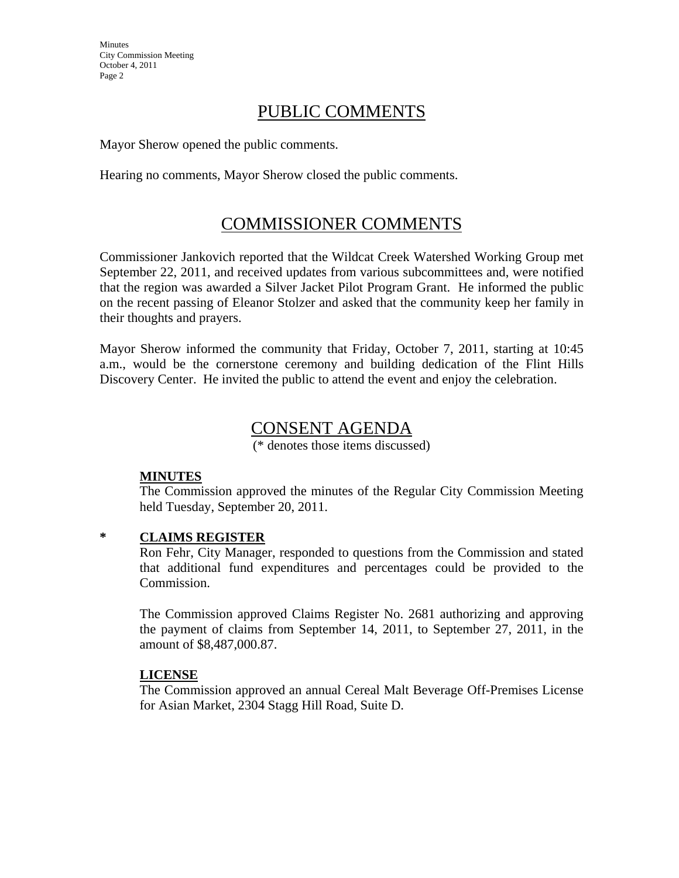## PUBLIC COMMENTS

Mayor Sherow opened the public comments.

Hearing no comments, Mayor Sherow closed the public comments.

## COMMISSIONER COMMENTS

Commissioner Jankovich reported that the Wildcat Creek Watershed Working Group met September 22, 2011, and received updates from various subcommittees and, were notified that the region was awarded a Silver Jacket Pilot Program Grant. He informed the public on the recent passing of Eleanor Stolzer and asked that the community keep her family in their thoughts and prayers.

Mayor Sherow informed the community that Friday, October 7, 2011, starting at 10:45 a.m., would be the cornerstone ceremony and building dedication of the Flint Hills Discovery Center. He invited the public to attend the event and enjoy the celebration.

## CONSENT AGENDA

(\* denotes those items discussed)

#### **MINUTES**

The Commission approved the minutes of the Regular City Commission Meeting held Tuesday, September 20, 2011.

#### **\* CLAIMS REGISTER**

Ron Fehr, City Manager, responded to questions from the Commission and stated that additional fund expenditures and percentages could be provided to the Commission.

The Commission approved Claims Register No. 2681 authorizing and approving the payment of claims from September 14, 2011, to September 27, 2011, in the amount of \$8,487,000.87.

#### **LICENSE**

The Commission approved an annual Cereal Malt Beverage Off-Premises License for Asian Market, 2304 Stagg Hill Road, Suite D.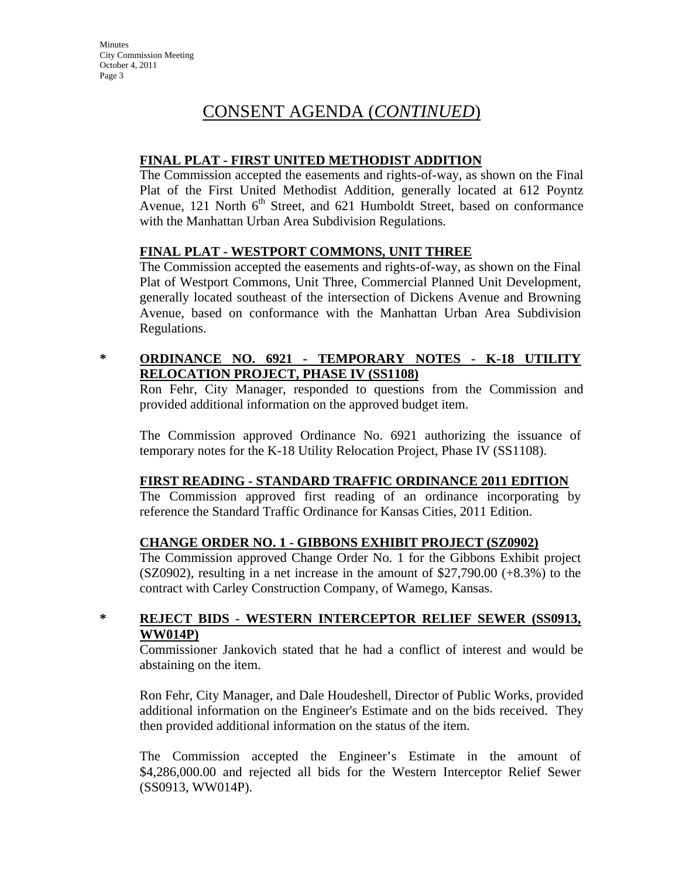### **FINAL PLAT - FIRST UNITED METHODIST ADDITION**

The Commission accepted the easements and rights-of-way, as shown on the Final Plat of the First United Methodist Addition, generally located at 612 Poyntz Avenue, 121 North  $6<sup>th</sup>$  Street, and 621 Humboldt Street, based on conformance with the Manhattan Urban Area Subdivision Regulations.

### **FINAL PLAT - WESTPORT COMMONS, UNIT THREE**

The Commission accepted the easements and rights-of-way, as shown on the Final Plat of Westport Commons, Unit Three, Commercial Planned Unit Development, generally located southeast of the intersection of Dickens Avenue and Browning Avenue, based on conformance with the Manhattan Urban Area Subdivision Regulations.

## **\* ORDINANCE NO. 6921 - TEMPORARY NOTES - K-18 UTILITY RELOCATION PROJECT, PHASE IV (SS1108)**

Ron Fehr, City Manager, responded to questions from the Commission and provided additional information on the approved budget item.

The Commission approved Ordinance No. 6921 authorizing the issuance of temporary notes for the K-18 Utility Relocation Project, Phase IV (SS1108).

#### **FIRST READING - STANDARD TRAFFIC ORDINANCE 2011 EDITION**

The Commission approved first reading of an ordinance incorporating by reference the Standard Traffic Ordinance for Kansas Cities, 2011 Edition.

#### **CHANGE ORDER NO. 1 - GIBBONS EXHIBIT PROJECT (SZ0902)**

The Commission approved Change Order No. 1 for the Gibbons Exhibit project  $(SZ0902)$ , resulting in a net increase in the amount of \$27,790.00  $(+8.3\%)$  to the contract with Carley Construction Company, of Wamego, Kansas.

#### **\* REJECT BIDS - WESTERN INTERCEPTOR RELIEF SEWER (SS0913, WW014P)**

Commissioner Jankovich stated that he had a conflict of interest and would be abstaining on the item.

Ron Fehr, City Manager, and Dale Houdeshell, Director of Public Works, provided additional information on the Engineer's Estimate and on the bids received. They then provided additional information on the status of the item.

The Commission accepted the Engineer's Estimate in the amount of \$4,286,000.00 and rejected all bids for the Western Interceptor Relief Sewer (SS0913, WW014P).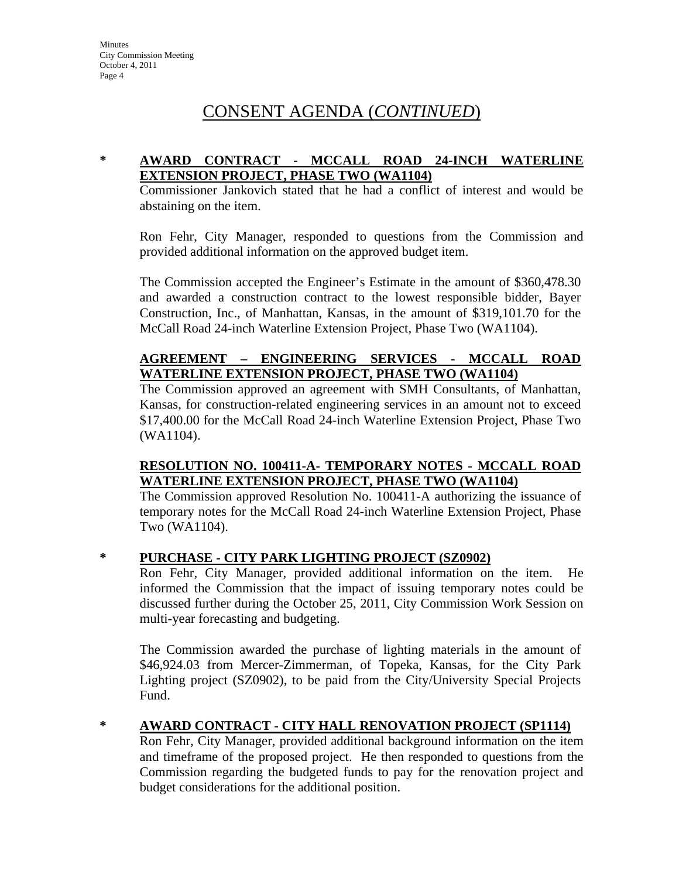#### **\* AWARD CONTRACT - MCCALL ROAD 24-INCH WATERLINE EXTENSION PROJECT, PHASE TWO (WA1104)**

Commissioner Jankovich stated that he had a conflict of interest and would be abstaining on the item.

Ron Fehr, City Manager, responded to questions from the Commission and provided additional information on the approved budget item.

The Commission accepted the Engineer's Estimate in the amount of \$360,478.30 and awarded a construction contract to the lowest responsible bidder, Bayer Construction, Inc., of Manhattan, Kansas, in the amount of \$319,101.70 for the McCall Road 24-inch Waterline Extension Project, Phase Two (WA1104).

#### **AGREEMENT – ENGINEERING SERVICES - MCCALL ROAD WATERLINE EXTENSION PROJECT, PHASE TWO (WA1104)**

The Commission approved an agreement with SMH Consultants, of Manhattan, Kansas, for construction-related engineering services in an amount not to exceed \$17,400.00 for the McCall Road 24-inch Waterline Extension Project, Phase Two (WA1104).

#### **RESOLUTION NO. 100411-A- TEMPORARY NOTES - MCCALL ROAD WATERLINE EXTENSION PROJECT, PHASE TWO (WA1104)**

The Commission approved Resolution No. 100411-A authorizing the issuance of temporary notes for the McCall Road 24-inch Waterline Extension Project, Phase Two (WA1104).

#### **\* PURCHASE - CITY PARK LIGHTING PROJECT (SZ0902)**

Ron Fehr, City Manager, provided additional information on the item. He informed the Commission that the impact of issuing temporary notes could be discussed further during the October 25, 2011, City Commission Work Session on multi-year forecasting and budgeting.

The Commission awarded the purchase of lighting materials in the amount of \$46,924.03 from Mercer-Zimmerman, of Topeka, Kansas, for the City Park Lighting project (SZ0902), to be paid from the City/University Special Projects Fund.

#### **\* AWARD CONTRACT - CITY HALL RENOVATION PROJECT (SP1114)**

Ron Fehr, City Manager, provided additional background information on the item and timeframe of the proposed project. He then responded to questions from the Commission regarding the budgeted funds to pay for the renovation project and budget considerations for the additional position.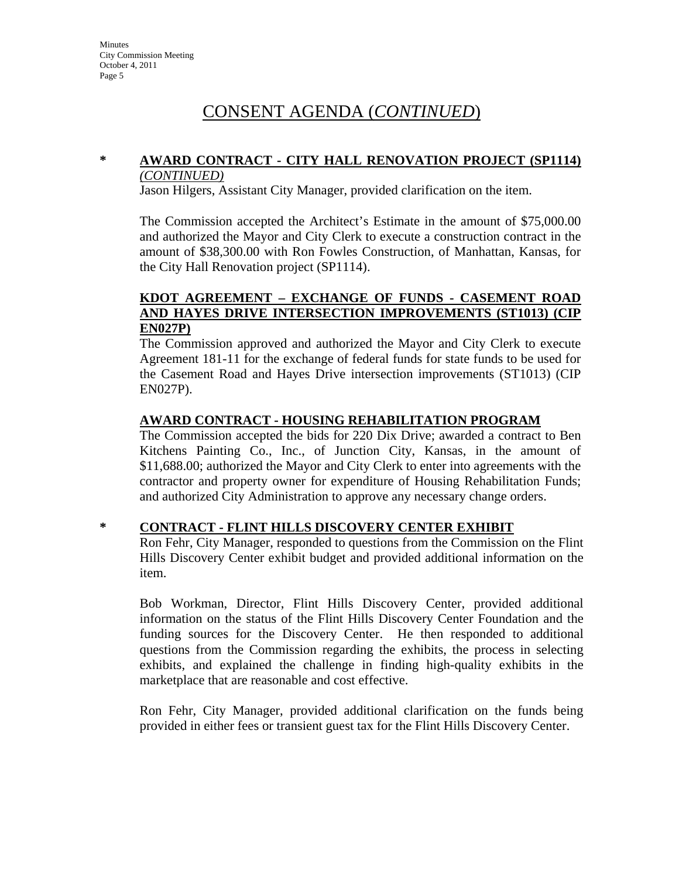#### **\* AWARD CONTRACT - CITY HALL RENOVATION PROJECT (SP1114)**  *(CONTINUED)*

Jason Hilgers, Assistant City Manager, provided clarification on the item.

The Commission accepted the Architect's Estimate in the amount of \$75,000.00 and authorized the Mayor and City Clerk to execute a construction contract in the amount of \$38,300.00 with Ron Fowles Construction, of Manhattan, Kansas, for the City Hall Renovation project (SP1114).

#### **KDOT AGREEMENT – EXCHANGE OF FUNDS - CASEMENT ROAD AND HAYES DRIVE INTERSECTION IMPROVEMENTS (ST1013) (CIP EN027P)**

The Commission approved and authorized the Mayor and City Clerk to execute Agreement 181-11 for the exchange of federal funds for state funds to be used for the Casement Road and Hayes Drive intersection improvements (ST1013) (CIP EN027P).

#### **AWARD CONTRACT - HOUSING REHABILITATION PROGRAM**

The Commission accepted the bids for 220 Dix Drive; awarded a contract to Ben Kitchens Painting Co., Inc., of Junction City, Kansas, in the amount of \$11,688.00; authorized the Mayor and City Clerk to enter into agreements with the contractor and property owner for expenditure of Housing Rehabilitation Funds; and authorized City Administration to approve any necessary change orders.

#### **\* CONTRACT - FLINT HILLS DISCOVERY CENTER EXHIBIT**

Ron Fehr, City Manager, responded to questions from the Commission on the Flint Hills Discovery Center exhibit budget and provided additional information on the item.

Bob Workman, Director, Flint Hills Discovery Center, provided additional information on the status of the Flint Hills Discovery Center Foundation and the funding sources for the Discovery Center. He then responded to additional questions from the Commission regarding the exhibits, the process in selecting exhibits, and explained the challenge in finding high-quality exhibits in the marketplace that are reasonable and cost effective.

Ron Fehr, City Manager, provided additional clarification on the funds being provided in either fees or transient guest tax for the Flint Hills Discovery Center.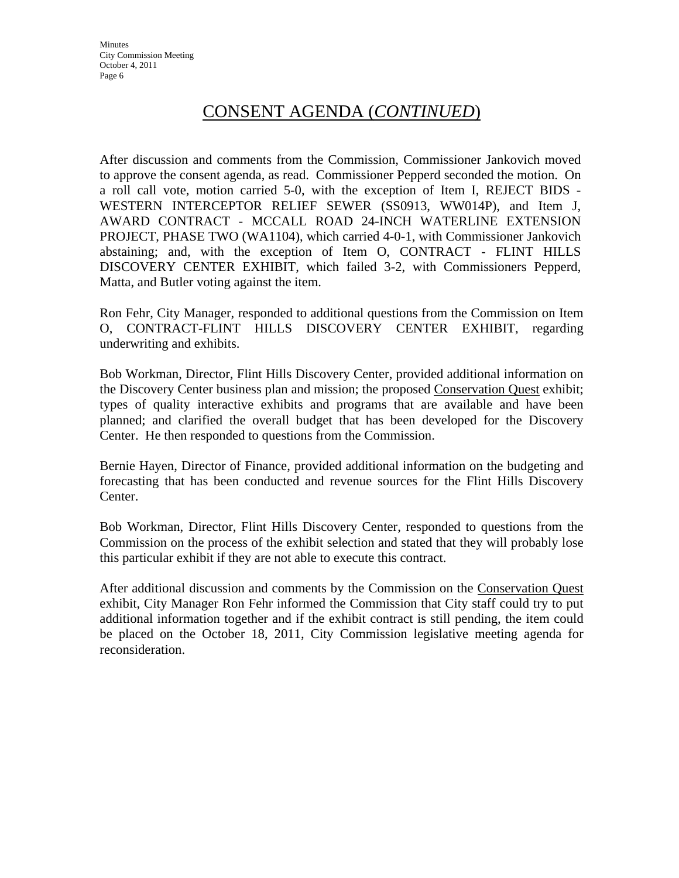After discussion and comments from the Commission, Commissioner Jankovich moved to approve the consent agenda, as read. Commissioner Pepperd seconded the motion. On a roll call vote, motion carried 5-0, with the exception of Item I, REJECT BIDS - WESTERN INTERCEPTOR RELIEF SEWER (SS0913, WW014P), and Item J, AWARD CONTRACT - MCCALL ROAD 24-INCH WATERLINE EXTENSION PROJECT, PHASE TWO (WA1104), which carried 4-0-1, with Commissioner Jankovich abstaining; and, with the exception of Item O, CONTRACT - FLINT HILLS DISCOVERY CENTER EXHIBIT, which failed 3-2, with Commissioners Pepperd, Matta, and Butler voting against the item.

Ron Fehr, City Manager, responded to additional questions from the Commission on Item O, CONTRACT-FLINT HILLS DISCOVERY CENTER EXHIBIT, regarding underwriting and exhibits.

Bob Workman, Director, Flint Hills Discovery Center, provided additional information on the Discovery Center business plan and mission; the proposed Conservation Quest exhibit; types of quality interactive exhibits and programs that are available and have been planned; and clarified the overall budget that has been developed for the Discovery Center. He then responded to questions from the Commission.

Bernie Hayen, Director of Finance, provided additional information on the budgeting and forecasting that has been conducted and revenue sources for the Flint Hills Discovery Center.

Bob Workman, Director, Flint Hills Discovery Center, responded to questions from the Commission on the process of the exhibit selection and stated that they will probably lose this particular exhibit if they are not able to execute this contract.

After additional discussion and comments by the Commission on the Conservation Quest exhibit, City Manager Ron Fehr informed the Commission that City staff could try to put additional information together and if the exhibit contract is still pending, the item could be placed on the October 18, 2011, City Commission legislative meeting agenda for reconsideration.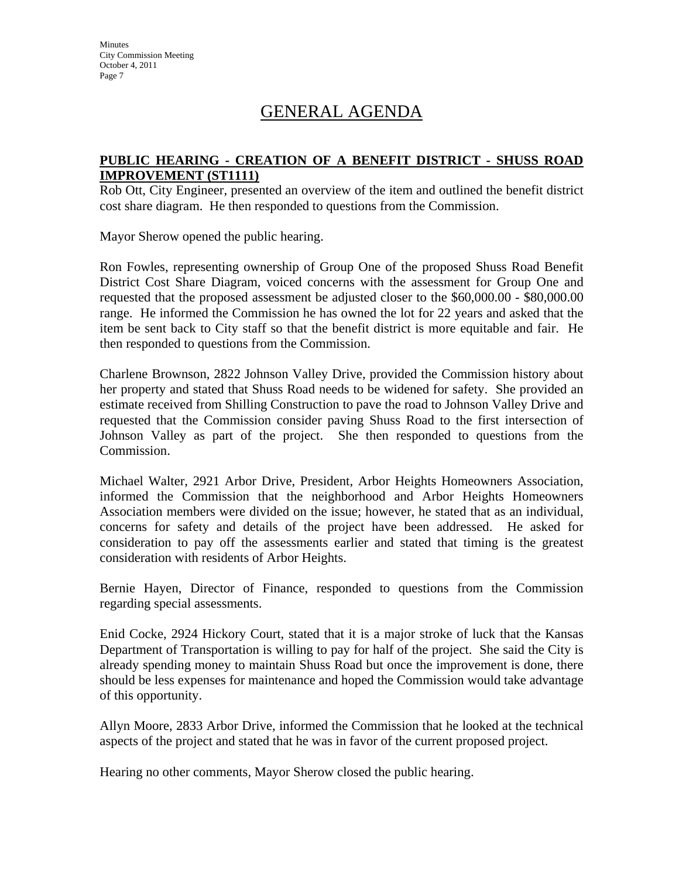## GENERAL AGENDA

#### **PUBLIC HEARING - CREATION OF A BENEFIT DISTRICT - SHUSS ROAD IMPROVEMENT (ST1111)**

Rob Ott, City Engineer, presented an overview of the item and outlined the benefit district cost share diagram. He then responded to questions from the Commission.

Mayor Sherow opened the public hearing.

Ron Fowles, representing ownership of Group One of the proposed Shuss Road Benefit District Cost Share Diagram, voiced concerns with the assessment for Group One and requested that the proposed assessment be adjusted closer to the \$60,000.00 - \$80,000.00 range. He informed the Commission he has owned the lot for 22 years and asked that the item be sent back to City staff so that the benefit district is more equitable and fair. He then responded to questions from the Commission.

Charlene Brownson, 2822 Johnson Valley Drive, provided the Commission history about her property and stated that Shuss Road needs to be widened for safety. She provided an estimate received from Shilling Construction to pave the road to Johnson Valley Drive and requested that the Commission consider paving Shuss Road to the first intersection of Johnson Valley as part of the project. She then responded to questions from the Commission.

Michael Walter, 2921 Arbor Drive, President, Arbor Heights Homeowners Association, informed the Commission that the neighborhood and Arbor Heights Homeowners Association members were divided on the issue; however, he stated that as an individual, concerns for safety and details of the project have been addressed. He asked for consideration to pay off the assessments earlier and stated that timing is the greatest consideration with residents of Arbor Heights.

Bernie Hayen, Director of Finance, responded to questions from the Commission regarding special assessments.

Enid Cocke, 2924 Hickory Court, stated that it is a major stroke of luck that the Kansas Department of Transportation is willing to pay for half of the project. She said the City is already spending money to maintain Shuss Road but once the improvement is done, there should be less expenses for maintenance and hoped the Commission would take advantage of this opportunity.

Allyn Moore, 2833 Arbor Drive, informed the Commission that he looked at the technical aspects of the project and stated that he was in favor of the current proposed project.

Hearing no other comments, Mayor Sherow closed the public hearing.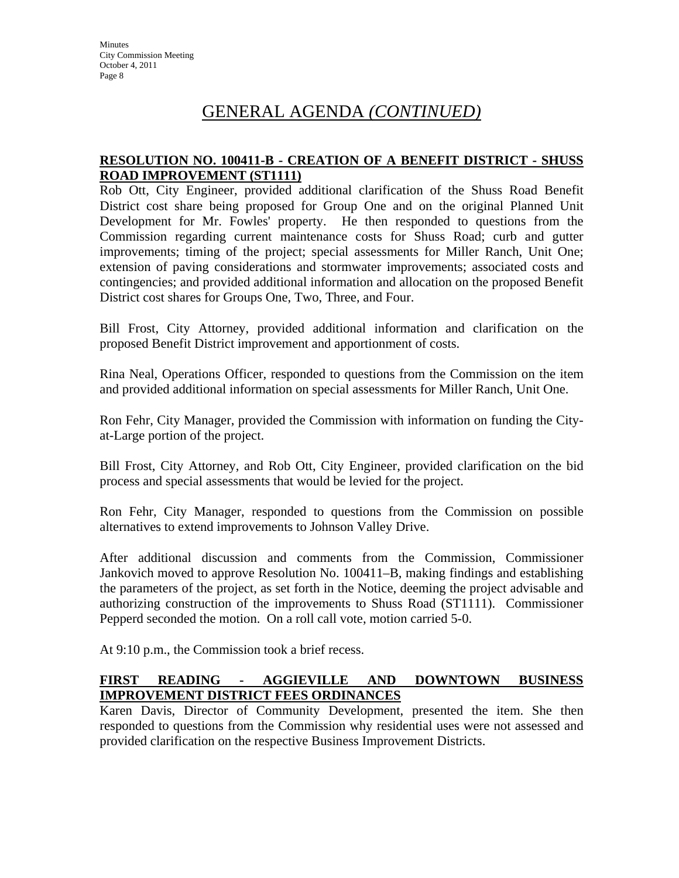## GENERAL AGENDA *(CONTINUED)*

#### **RESOLUTION NO. 100411-B - CREATION OF A BENEFIT DISTRICT - SHUSS ROAD IMPROVEMENT (ST1111)**

Rob Ott, City Engineer, provided additional clarification of the Shuss Road Benefit District cost share being proposed for Group One and on the original Planned Unit Development for Mr. Fowles' property. He then responded to questions from the Commission regarding current maintenance costs for Shuss Road; curb and gutter improvements; timing of the project; special assessments for Miller Ranch, Unit One; extension of paving considerations and stormwater improvements; associated costs and contingencies; and provided additional information and allocation on the proposed Benefit District cost shares for Groups One, Two, Three, and Four.

Bill Frost, City Attorney, provided additional information and clarification on the proposed Benefit District improvement and apportionment of costs.

Rina Neal, Operations Officer, responded to questions from the Commission on the item and provided additional information on special assessments for Miller Ranch, Unit One.

Ron Fehr, City Manager, provided the Commission with information on funding the Cityat-Large portion of the project.

Bill Frost, City Attorney, and Rob Ott, City Engineer, provided clarification on the bid process and special assessments that would be levied for the project.

Ron Fehr, City Manager, responded to questions from the Commission on possible alternatives to extend improvements to Johnson Valley Drive.

After additional discussion and comments from the Commission, Commissioner Jankovich moved to approve Resolution No. 100411–B, making findings and establishing the parameters of the project, as set forth in the Notice, deeming the project advisable and authorizing construction of the improvements to Shuss Road (ST1111). Commissioner Pepperd seconded the motion. On a roll call vote, motion carried 5-0.

At 9:10 p.m., the Commission took a brief recess.

#### **FIRST READING - AGGIEVILLE AND DOWNTOWN BUSINESS IMPROVEMENT DISTRICT FEES ORDINANCES**

Karen Davis, Director of Community Development, presented the item. She then responded to questions from the Commission why residential uses were not assessed and provided clarification on the respective Business Improvement Districts.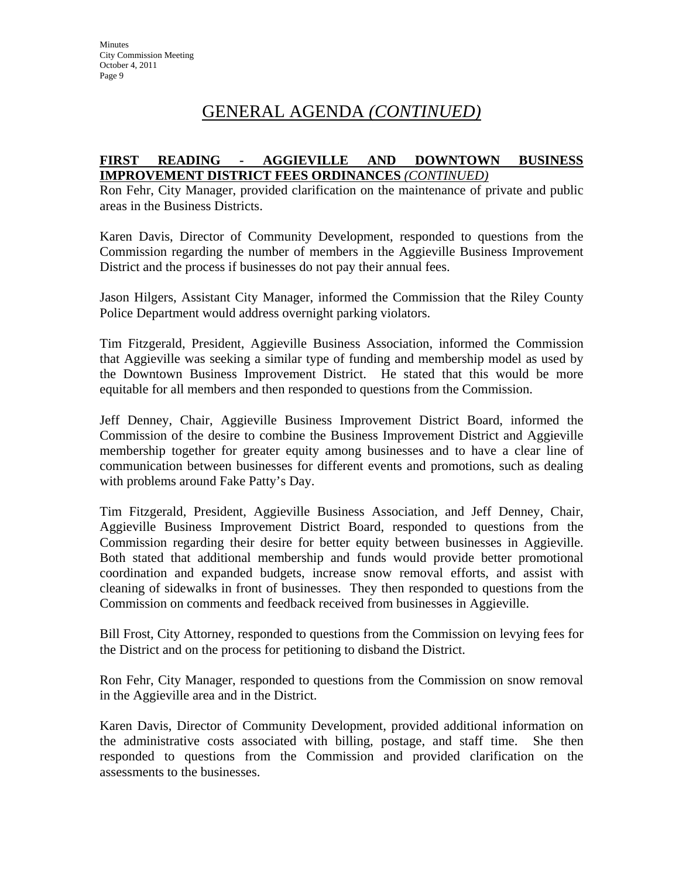## GENERAL AGENDA *(CONTINUED)*

#### **FIRST READING - AGGIEVILLE AND DOWNTOWN BUSINESS IMPROVEMENT DISTRICT FEES ORDINANCES** *(CONTINUED)*

Ron Fehr, City Manager, provided clarification on the maintenance of private and public areas in the Business Districts.

Karen Davis, Director of Community Development, responded to questions from the Commission regarding the number of members in the Aggieville Business Improvement District and the process if businesses do not pay their annual fees.

Jason Hilgers, Assistant City Manager, informed the Commission that the Riley County Police Department would address overnight parking violators.

Tim Fitzgerald, President, Aggieville Business Association, informed the Commission that Aggieville was seeking a similar type of funding and membership model as used by the Downtown Business Improvement District. He stated that this would be more equitable for all members and then responded to questions from the Commission.

Jeff Denney, Chair, Aggieville Business Improvement District Board, informed the Commission of the desire to combine the Business Improvement District and Aggieville membership together for greater equity among businesses and to have a clear line of communication between businesses for different events and promotions, such as dealing with problems around Fake Patty's Day.

Tim Fitzgerald, President, Aggieville Business Association, and Jeff Denney, Chair, Aggieville Business Improvement District Board, responded to questions from the Commission regarding their desire for better equity between businesses in Aggieville. Both stated that additional membership and funds would provide better promotional coordination and expanded budgets, increase snow removal efforts, and assist with cleaning of sidewalks in front of businesses. They then responded to questions from the Commission on comments and feedback received from businesses in Aggieville.

Bill Frost, City Attorney, responded to questions from the Commission on levying fees for the District and on the process for petitioning to disband the District.

Ron Fehr, City Manager, responded to questions from the Commission on snow removal in the Aggieville area and in the District.

Karen Davis, Director of Community Development, provided additional information on the administrative costs associated with billing, postage, and staff time. She then responded to questions from the Commission and provided clarification on the assessments to the businesses.